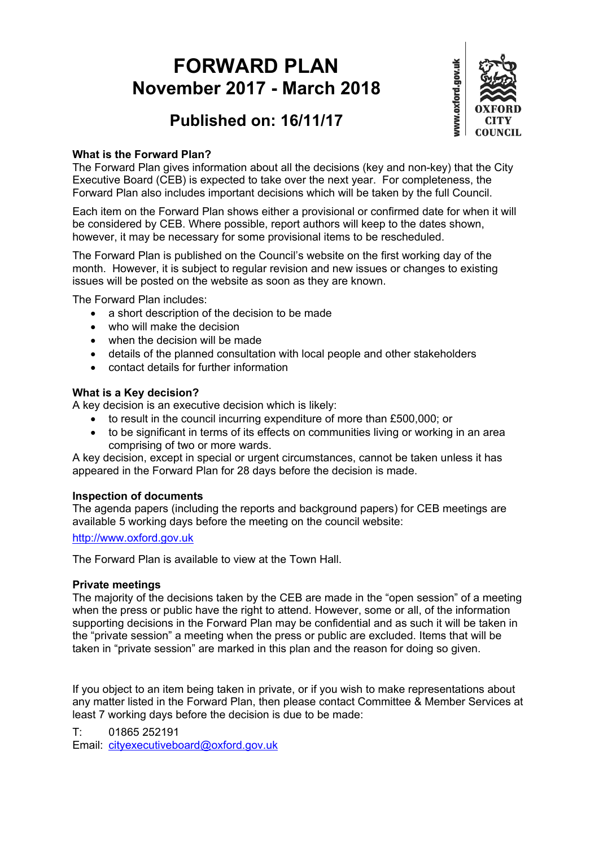# **FORWARD PLAN November 2017 - March 2018**



## **Published on: 16/11/17**

#### **What is the Forward Plan?**

The Forward Plan gives information about all the decisions (key and non-key) that the City Executive Board (CEB) is expected to take over the next year. For completeness, the Forward Plan also includes important decisions which will be taken by the full Council.

Each item on the Forward Plan shows either a provisional or confirmed date for when it will be considered by CEB. Where possible, report authors will keep to the dates shown, however, it may be necessary for some provisional items to be rescheduled.

The Forward Plan is published on the Council's website on the first working day of the month. However, it is subject to regular revision and new issues or changes to existing issues will be posted on the website as soon as they are known.

The Forward Plan includes:

- a short description of the decision to be made
- who will make the decision
- when the decision will be made
- details of the planned consultation with local people and other stakeholders
- contact details for further information

#### **What is a Key decision?**

A key decision is an executive decision which is likely:

- to result in the council incurring expenditure of more than £500,000; or
- to be significant in terms of its effects on communities living or working in an area comprising of two or more wards.

A key decision, except in special or urgent circumstances, cannot be taken unless it has appeared in the Forward Plan for 28 days before the decision is made.

#### **Inspection of documents**

The agenda papers (including the reports and background papers) for CEB meetings are available 5 working days before the meeting on the council website:

[http://www.oxford.gov.uk](http://www.oxford.gov.uk/)

The Forward Plan is available to view at the Town Hall.

#### **Private meetings**

The majority of the decisions taken by the CEB are made in the "open session" of a meeting when the press or public have the right to attend. However, some or all, of the information supporting decisions in the Forward Plan may be confidential and as such it will be taken in the "private session" a meeting when the press or public are excluded. Items that will be taken in "private session" are marked in this plan and the reason for doing so given.

If you object to an item being taken in private, or if you wish to make representations about any matter listed in the Forward Plan, then please contact Committee & Member Services at least 7 working days before the decision is due to be made:

T: 01865 252191 Email: [cityexecutiveboard@oxford.gov.uk](mailto:cityexecutiveboard@oxford.gov.uk)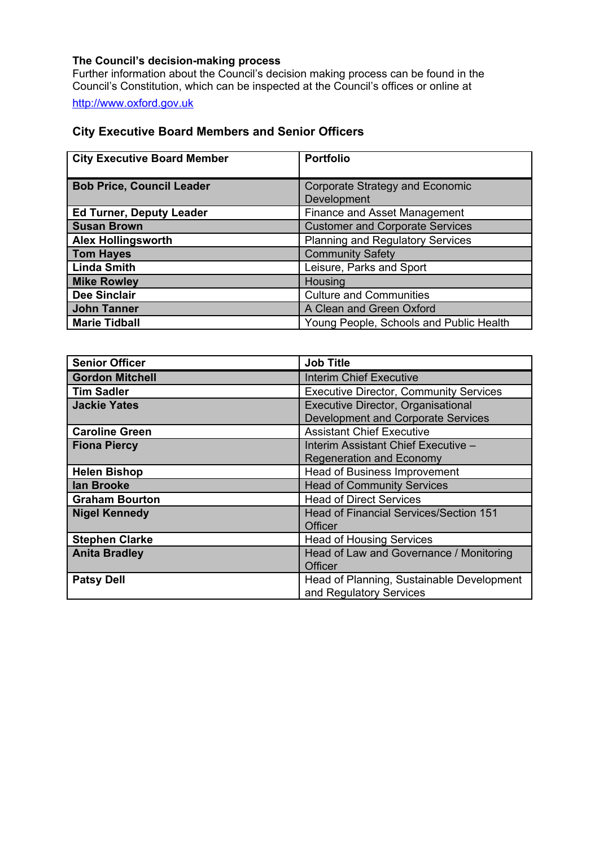#### **The Council's decision-making process**

Further information about the Council's decision making process can be found in the Council's Constitution, which can be inspected at the Council's offices or online at

[http://www.oxford.gov.uk](http://www.oxford.gov.uk/)

#### **City Executive Board Members and Senior Officers**

| <b>City Executive Board Member</b> | <b>Portfolio</b>                        |
|------------------------------------|-----------------------------------------|
|                                    |                                         |
| <b>Bob Price, Council Leader</b>   | Corporate Strategy and Economic         |
|                                    | Development                             |
| <b>Ed Turner, Deputy Leader</b>    | <b>Finance and Asset Management</b>     |
| <b>Susan Brown</b>                 | <b>Customer and Corporate Services</b>  |
| <b>Alex Hollingsworth</b>          | <b>Planning and Regulatory Services</b> |
| <b>Tom Hayes</b>                   | <b>Community Safety</b>                 |
| <b>Linda Smith</b>                 | Leisure, Parks and Sport                |
| <b>Mike Rowley</b>                 | Housing                                 |
| <b>Dee Sinclair</b>                | <b>Culture and Communities</b>          |
| <b>John Tanner</b>                 | A Clean and Green Oxford                |
| <b>Marie Tidball</b>               | Young People, Schools and Public Health |

| <b>Senior Officer</b>  | <b>Job Title</b>                              |
|------------------------|-----------------------------------------------|
| <b>Gordon Mitchell</b> | <b>Interim Chief Executive</b>                |
| <b>Tim Sadler</b>      | <b>Executive Director, Community Services</b> |
| <b>Jackie Yates</b>    | Executive Director, Organisational            |
|                        | Development and Corporate Services            |
| <b>Caroline Green</b>  | <b>Assistant Chief Executive</b>              |
| <b>Fiona Piercy</b>    | Interim Assistant Chief Executive -           |
|                        | <b>Regeneration and Economy</b>               |
| <b>Helen Bishop</b>    | Head of Business Improvement                  |
| lan Brooke             | <b>Head of Community Services</b>             |
| <b>Graham Bourton</b>  | <b>Head of Direct Services</b>                |
| <b>Nigel Kennedy</b>   | <b>Head of Financial Services/Section 151</b> |
|                        | Officer                                       |
| <b>Stephen Clarke</b>  | <b>Head of Housing Services</b>               |
| <b>Anita Bradley</b>   | Head of Law and Governance / Monitoring       |
|                        | Officer                                       |
| <b>Patsy Dell</b>      | Head of Planning, Sustainable Development     |
|                        | and Regulatory Services                       |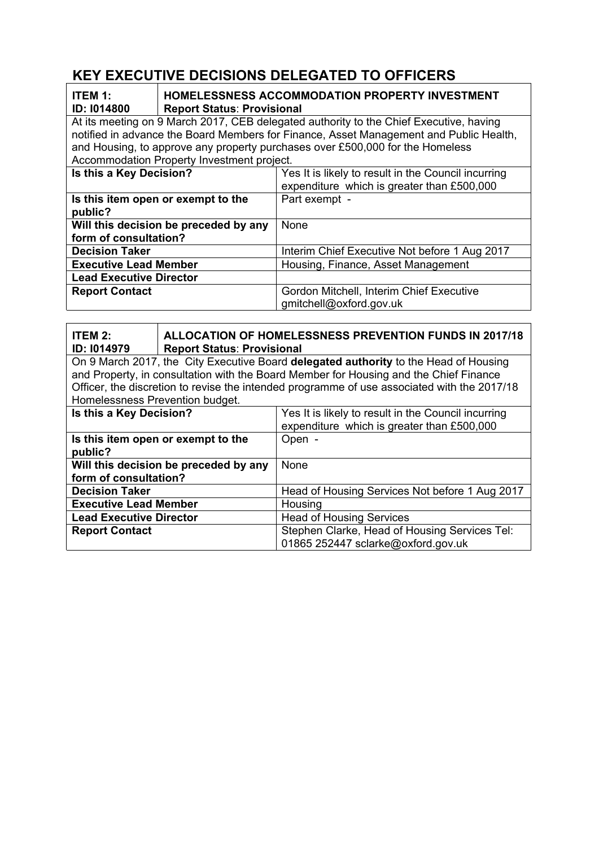### **KEY EXECUTIVE DECISIONS DELEGATED TO OFFICERS**

| <b>ITEM 1:</b><br><b>ID: 1014800</b><br><b>Report Status: Provisional</b>                                                   | <b>HOMELESSNESS ACCOMMODATION PROPERTY INVESTMENT</b>                                             |
|-----------------------------------------------------------------------------------------------------------------------------|---------------------------------------------------------------------------------------------------|
| At its meeting on 9 March 2017, CEB delegated authority to the Chief Executive, having                                      |                                                                                                   |
|                                                                                                                             | notified in advance the Board Members for Finance, Asset Management and Public Health,            |
| and Housing, to approve any property purchases over £500,000 for the Homeless<br>Accommodation Property Investment project. |                                                                                                   |
|                                                                                                                             |                                                                                                   |
| Is this a Key Decision?                                                                                                     | Yes It is likely to result in the Council incurring<br>expenditure which is greater than £500,000 |
| Is this item open or exempt to the<br>public?                                                                               | Part exempt -                                                                                     |
| Will this decision be preceded by any<br>form of consultation?                                                              | <b>None</b>                                                                                       |
| <b>Decision Taker</b>                                                                                                       | Interim Chief Executive Not before 1 Aug 2017                                                     |
| <b>Executive Lead Member</b>                                                                                                | Housing, Finance, Asset Management                                                                |
| <b>Lead Executive Director</b>                                                                                              |                                                                                                   |
| <b>Report Contact</b>                                                                                                       | Gordon Mitchell, Interim Chief Executive                                                          |
|                                                                                                                             | gmitchell@oxford.gov.uk                                                                           |

| ITEM 2:<br>ID: 1014979                                                                                                                                                        | <b>Report Status: Provisional</b>     | <b>ALLOCATION OF HOMELESSNESS PREVENTION FUNDS IN 2017/18</b>                                     |
|-------------------------------------------------------------------------------------------------------------------------------------------------------------------------------|---------------------------------------|---------------------------------------------------------------------------------------------------|
| On 9 March 2017, the City Executive Board delegated authority to the Head of Housing<br>and Property, in consultation with the Board Member for Housing and the Chief Finance |                                       |                                                                                                   |
| Officer, the discretion to revise the intended programme of use associated with the 2017/18<br>Homelessness Prevention budget.                                                |                                       |                                                                                                   |
| Is this a Key Decision?                                                                                                                                                       |                                       | Yes It is likely to result in the Council incurring<br>expenditure which is greater than £500,000 |
| public?                                                                                                                                                                       | Is this item open or exempt to the    | Open -                                                                                            |
| form of consultation?                                                                                                                                                         | Will this decision be preceded by any | <b>None</b>                                                                                       |
| <b>Decision Taker</b>                                                                                                                                                         |                                       | Head of Housing Services Not before 1 Aug 2017                                                    |
| <b>Executive Lead Member</b>                                                                                                                                                  |                                       | Housing                                                                                           |
| <b>Lead Executive Director</b>                                                                                                                                                |                                       | <b>Head of Housing Services</b>                                                                   |
| <b>Report Contact</b>                                                                                                                                                         |                                       | Stephen Clarke, Head of Housing Services Tel:<br>01865 252447 sclarke@oxford.gov.uk               |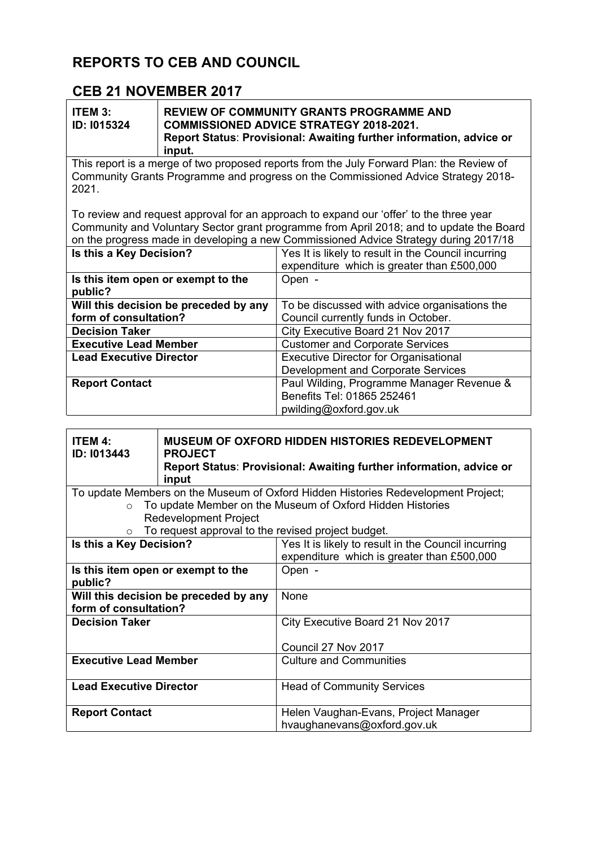### **REPORTS TO CEB AND COUNCIL**

### **CEB 21 NOVEMBER 2017**

| ITEM 3:            | <b>REVIEW OF COMMUNITY GRANTS PROGRAMME AND</b>                     |  |
|--------------------|---------------------------------------------------------------------|--|
| <b>ID: 1015324</b> | <b>COMMISSIONED ADVICE STRATEGY 2018-2021.</b>                      |  |
|                    | Report Status: Provisional: Awaiting further information, advice or |  |
|                    | input.                                                              |  |

This report is a merge of two proposed reports from the July Forward Plan: the Review of Community Grants Programme and progress on the Commissioned Advice Strategy 2018- 2021.

To review and request approval for an approach to expand our 'offer' to the three year Community and Voluntary Sector grant programme from April 2018; and to update the Board on the progress made in developing a new Commissioned Advice Strategy during 2017/18

| Is this a Key Decision?                       | Yes It is likely to result in the Council incurring<br>expenditure which is greater than £500,000 |
|-----------------------------------------------|---------------------------------------------------------------------------------------------------|
| Is this item open or exempt to the<br>public? | Open -                                                                                            |
| Will this decision be preceded by any         | To be discussed with advice organisations the                                                     |
| form of consultation?                         | Council currently funds in October.                                                               |
| <b>Decision Taker</b>                         | City Executive Board 21 Nov 2017                                                                  |
| <b>Executive Lead Member</b>                  | <b>Customer and Corporate Services</b>                                                            |
| <b>Lead Executive Director</b>                | <b>Executive Director for Organisational</b>                                                      |
|                                               | Development and Corporate Services                                                                |
| <b>Report Contact</b>                         | Paul Wilding, Programme Manager Revenue &                                                         |
|                                               | Benefits Tel: 01865 252461                                                                        |
|                                               | pwilding@oxford.gov.uk                                                                            |

| <b>ITEM 4:</b><br>ID: I013443  | <b>MUSEUM OF OXFORD HIDDEN HISTORIES REDEVELOPMENT</b><br><b>PROJECT</b><br>Report Status: Provisional: Awaiting further information, advice or<br>input |                                                                                                   |
|--------------------------------|----------------------------------------------------------------------------------------------------------------------------------------------------------|---------------------------------------------------------------------------------------------------|
|                                |                                                                                                                                                          | To update Members on the Museum of Oxford Hidden Histories Redevelopment Project;                 |
| $\circ$                        |                                                                                                                                                          | To update Member on the Museum of Oxford Hidden Histories                                         |
|                                | <b>Redevelopment Project</b>                                                                                                                             |                                                                                                   |
|                                | To request approval to the revised project budget.                                                                                                       |                                                                                                   |
| Is this a Key Decision?        |                                                                                                                                                          | Yes It is likely to result in the Council incurring<br>expenditure which is greater than £500,000 |
| public?                        | Is this item open or exempt to the                                                                                                                       | Open -                                                                                            |
| form of consultation?          | Will this decision be preceded by any                                                                                                                    | None                                                                                              |
| <b>Decision Taker</b>          |                                                                                                                                                          | City Executive Board 21 Nov 2017                                                                  |
|                                |                                                                                                                                                          | Council 27 Nov 2017                                                                               |
| <b>Executive Lead Member</b>   |                                                                                                                                                          | <b>Culture and Communities</b>                                                                    |
| <b>Lead Executive Director</b> |                                                                                                                                                          | <b>Head of Community Services</b>                                                                 |
| <b>Report Contact</b>          |                                                                                                                                                          | Helen Vaughan-Evans, Project Manager<br>hvaughanevans@oxford.gov.uk                               |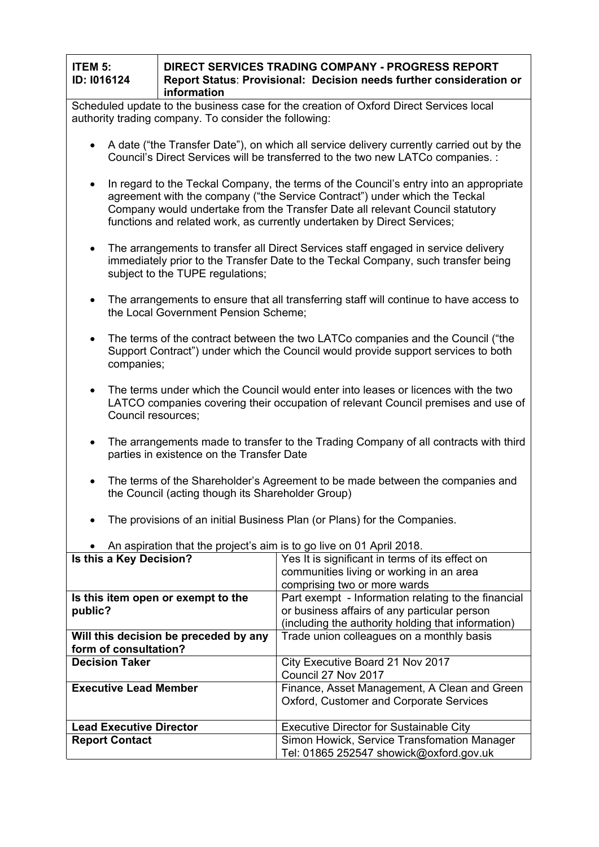| ITEM 5:            | <b>I DIRECT SERVICES TRADING COMPANY - PROGRESS REPORT</b>          |  |
|--------------------|---------------------------------------------------------------------|--|
| <b>ID: 1016124</b> | Report Status: Provisional: Decision needs further consideration or |  |
|                    | information                                                         |  |

Scheduled update to the business case for the creation of Oxford Direct Services local authority trading company. To consider the following:

- A date ("the Transfer Date"), on which all service delivery currently carried out by the Council's Direct Services will be transferred to the two new LATCo companies. :
- In regard to the Teckal Company, the terms of the Council's entry into an appropriate agreement with the company ("the Service Contract") under which the Teckal Company would undertake from the Transfer Date all relevant Council statutory functions and related work, as currently undertaken by Direct Services;
- The arrangements to transfer all Direct Services staff engaged in service delivery immediately prior to the Transfer Date to the Teckal Company, such transfer being subject to the TUPE regulations;
- The arrangements to ensure that all transferring staff will continue to have access to the Local Government Pension Scheme;
- The terms of the contract between the two LATCo companies and the Council ("the Support Contract") under which the Council would provide support services to both companies;
- The terms under which the Council would enter into leases or licences with the two LATCO companies covering their occupation of relevant Council premises and use of Council resources;
- The arrangements made to transfer to the Trading Company of all contracts with third parties in existence on the Transfer Date
- The terms of the Shareholder's Agreement to be made between the companies and the Council (acting though its Shareholder Group)
- The provisions of an initial Business Plan (or Plans) for the Companies.

| All aspiration that the project's all is to go live on or April 2010. |                                                     |
|-----------------------------------------------------------------------|-----------------------------------------------------|
| Is this a Key Decision?                                               | Yes It is significant in terms of its effect on     |
|                                                                       | communities living or working in an area            |
|                                                                       | comprising two or more wards                        |
| Is this item open or exempt to the                                    | Part exempt - Information relating to the financial |
| public?                                                               | or business affairs of any particular person        |
|                                                                       | (including the authority holding that information)  |
| Will this decision be preceded by any                                 | Trade union colleagues on a monthly basis           |
| form of consultation?                                                 |                                                     |
| <b>Decision Taker</b>                                                 | City Executive Board 21 Nov 2017                    |
|                                                                       | Council 27 Nov 2017                                 |
| <b>Executive Lead Member</b>                                          | Finance, Asset Management, A Clean and Green        |
|                                                                       | Oxford, Customer and Corporate Services             |
|                                                                       |                                                     |
| <b>Lead Executive Director</b>                                        | <b>Executive Director for Sustainable City</b>      |
| <b>Report Contact</b>                                                 | Simon Howick, Service Transfomation Manager         |
|                                                                       | Tel: 01865 252547 showick@oxford.gov.uk             |

An aspiration that the project's aim is to go live on 01 April 2018.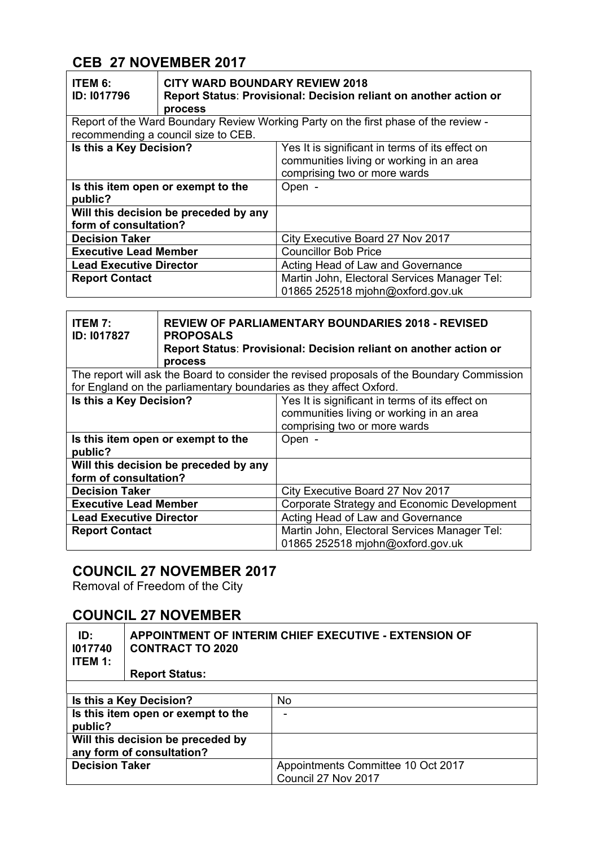# **CEB 27 NOVEMBER 2017**

| <b>ITEM 6:</b><br><b>ID: 1017796</b>                                                                                       | <b>CITY WARD BOUNDARY REVIEW 2018</b><br>process | Report Status: Provisional: Decision reliant on another action or                                                           |
|----------------------------------------------------------------------------------------------------------------------------|--------------------------------------------------|-----------------------------------------------------------------------------------------------------------------------------|
| Report of the Ward Boundary Review Working Party on the first phase of the review -<br>recommending a council size to CEB. |                                                  |                                                                                                                             |
| Is this a Key Decision?                                                                                                    |                                                  | Yes It is significant in terms of its effect on<br>communities living or working in an area<br>comprising two or more wards |
| public?                                                                                                                    | Is this item open or exempt to the               | Open -                                                                                                                      |
| form of consultation?                                                                                                      | Will this decision be preceded by any            |                                                                                                                             |
| <b>Decision Taker</b>                                                                                                      |                                                  | City Executive Board 27 Nov 2017                                                                                            |
| <b>Executive Lead Member</b>                                                                                               |                                                  | <b>Councillor Bob Price</b>                                                                                                 |
| <b>Lead Executive Director</b>                                                                                             |                                                  | Acting Head of Law and Governance                                                                                           |
| <b>Report Contact</b>                                                                                                      |                                                  | Martin John, Electoral Services Manager Tel:<br>01865 252518 mjohn@oxford.gov.uk                                            |

| <b>ITEM 7:</b><br><b>ID: 1017827</b>                                                                                                                             | <b>REVIEW OF PARLIAMENTARY BOUNDARIES 2018 - REVISED</b><br><b>PROPOSALS</b><br>Report Status: Provisional: Decision reliant on another action or<br>process |                                                                                                                             |
|------------------------------------------------------------------------------------------------------------------------------------------------------------------|--------------------------------------------------------------------------------------------------------------------------------------------------------------|-----------------------------------------------------------------------------------------------------------------------------|
| The report will ask the Board to consider the revised proposals of the Boundary Commission<br>for England on the parliamentary boundaries as they affect Oxford. |                                                                                                                                                              |                                                                                                                             |
| Is this a Key Decision?                                                                                                                                          |                                                                                                                                                              | Yes It is significant in terms of its effect on<br>communities living or working in an area<br>comprising two or more wards |
| public?                                                                                                                                                          | Is this item open or exempt to the                                                                                                                           | Open -                                                                                                                      |
| form of consultation?                                                                                                                                            | Will this decision be preceded by any                                                                                                                        |                                                                                                                             |
| <b>Decision Taker</b>                                                                                                                                            |                                                                                                                                                              | City Executive Board 27 Nov 2017                                                                                            |
| <b>Executive Lead Member</b>                                                                                                                                     |                                                                                                                                                              | Corporate Strategy and Economic Development                                                                                 |
| <b>Lead Executive Director</b>                                                                                                                                   |                                                                                                                                                              | Acting Head of Law and Governance                                                                                           |
| <b>Report Contact</b>                                                                                                                                            |                                                                                                                                                              | Martin John, Electoral Services Manager Tel:<br>01865 252518 mjohn@oxford.gov.uk                                            |

# **COUNCIL 27 NOVEMBER 2017**

Removal of Freedom of the City

### **COUNCIL 27 NOVEMBER**

| ID:<br>1017740<br><b>ITEM 1:</b> | APPOINTMENT OF INTERIM CHIEF EXECUTIVE - EXTENSION OF<br><b>CONTRACT TO 2020</b><br><b>Report Status:</b> |                                                           |
|----------------------------------|-----------------------------------------------------------------------------------------------------------|-----------------------------------------------------------|
|                                  |                                                                                                           |                                                           |
|                                  | No<br>Is this a Key Decision?                                                                             |                                                           |
| public?                          | Is this item open or exempt to the                                                                        | ٠                                                         |
|                                  | Will this decision be preceded by<br>any form of consultation?                                            |                                                           |
| <b>Decision Taker</b>            |                                                                                                           | Appointments Committee 10 Oct 2017<br>Council 27 Nov 2017 |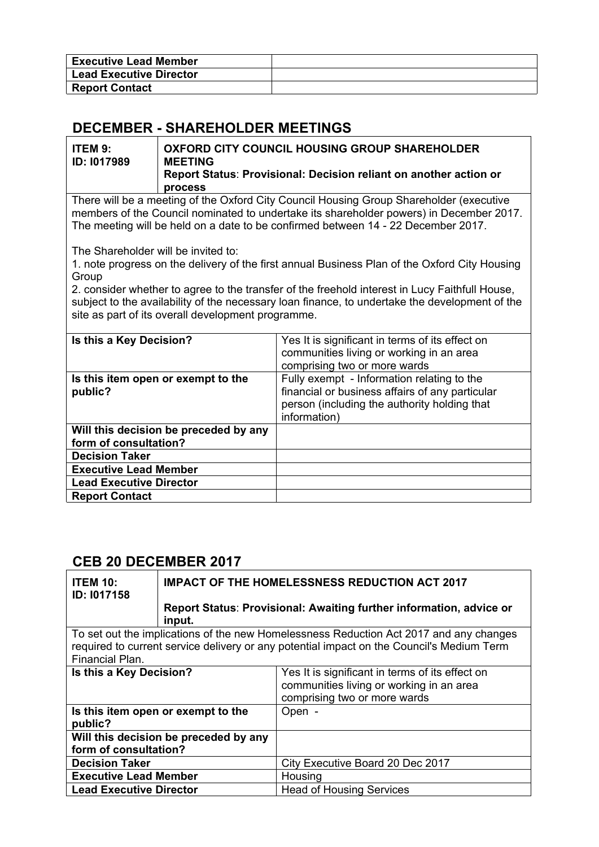| <b>Executive Lead Member</b>   |  |
|--------------------------------|--|
| <b>Lead Executive Director</b> |  |
| <b>Report Contact</b>          |  |

### **DECEMBER - SHAREHOLDER MEETINGS**

| ITEM 9:            | OXFORD CITY COUNCIL HOUSING GROUP SHAREHOLDER                                |  |
|--------------------|------------------------------------------------------------------------------|--|
| <b>ID: 1017989</b> | <b>MEETING</b>                                                               |  |
|                    | Report Status: Provisional: Decision reliant on another action or<br>process |  |

There will be a meeting of the Oxford City Council Housing Group Shareholder (executive members of the Council nominated to undertake its shareholder powers) in December 2017. The meeting will be held on a date to be confirmed between 14 - 22 December 2017.

The Shareholder will be invited to:

1. note progress on the delivery of the first annual Business Plan of the Oxford City Housing **Group** 

2. consider whether to agree to the transfer of the freehold interest in Lucy Faithfull House, subject to the availability of the necessary loan finance, to undertake the development of the site as part of its overall development programme.

| Is this a Key Decision?                       | Yes It is significant in terms of its effect on<br>communities living or working in an area<br>comprising two or more wards                                   |
|-----------------------------------------------|---------------------------------------------------------------------------------------------------------------------------------------------------------------|
| Is this item open or exempt to the<br>public? | Fully exempt - Information relating to the<br>financial or business affairs of any particular<br>person (including the authority holding that<br>information) |
| Will this decision be preceded by any         |                                                                                                                                                               |
| form of consultation?                         |                                                                                                                                                               |
| <b>Decision Taker</b>                         |                                                                                                                                                               |
| <b>Executive Lead Member</b>                  |                                                                                                                                                               |
| <b>Lead Executive Director</b>                |                                                                                                                                                               |
| <b>Report Contact</b>                         |                                                                                                                                                               |
|                                               |                                                                                                                                                               |

#### **CEB 20 DECEMBER 2017**

| <b>ITEM 10:</b><br>ID: 1017158                                 | <b>IMPACT OF THE HOMELESSNESS REDUCTION ACT 2017</b>                                                                                                                                |                                                                     |
|----------------------------------------------------------------|-------------------------------------------------------------------------------------------------------------------------------------------------------------------------------------|---------------------------------------------------------------------|
|                                                                | input.                                                                                                                                                                              | Report Status: Provisional: Awaiting further information, advice or |
| Financial Plan.                                                | To set out the implications of the new Homelessness Reduction Act 2017 and any changes<br>required to current service delivery or any potential impact on the Council's Medium Term |                                                                     |
| Is this a Key Decision?                                        | Yes It is significant in terms of its effect on<br>communities living or working in an area<br>comprising two or more wards                                                         |                                                                     |
| public?                                                        | Is this item open or exempt to the<br>Open -                                                                                                                                        |                                                                     |
| Will this decision be preceded by any<br>form of consultation? |                                                                                                                                                                                     |                                                                     |
| <b>Decision Taker</b>                                          |                                                                                                                                                                                     | City Executive Board 20 Dec 2017                                    |
| <b>Executive Lead Member</b>                                   |                                                                                                                                                                                     | Housing                                                             |
| <b>Lead Executive Director</b>                                 |                                                                                                                                                                                     | <b>Head of Housing Services</b>                                     |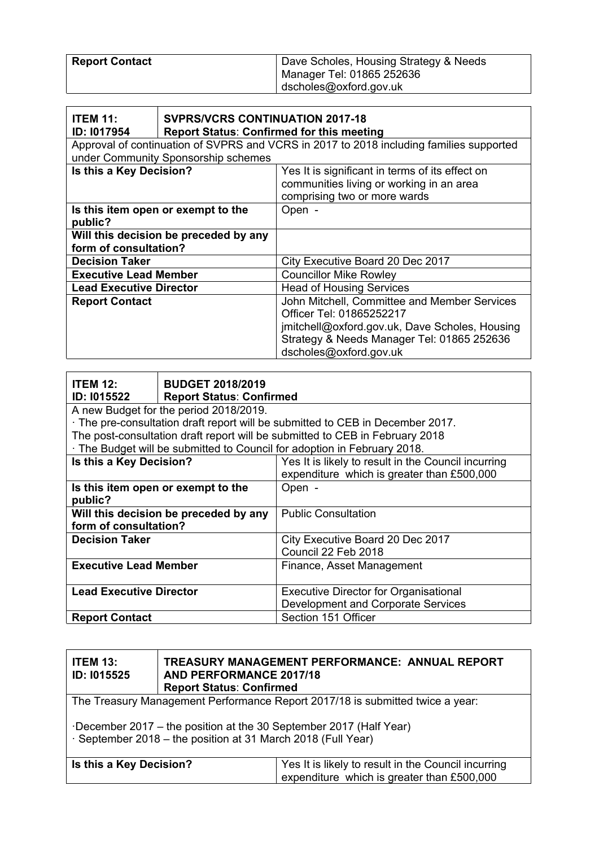| <b>Report Contact</b> | Dave Scholes, Housing Strategy & Needs |
|-----------------------|----------------------------------------|
|                       | Manager Tel: 01865 252636              |
|                       | dscholes@oxford.gov.uk                 |

| <b>ITEM 11:</b><br><b>ID: 1017954</b>                                                                                          | <b>SVPRS/VCRS CONTINUATION 2017-18</b><br><b>Report Status: Confirmed for this meeting</b> |                                                                                                                                                                                                    |
|--------------------------------------------------------------------------------------------------------------------------------|--------------------------------------------------------------------------------------------|----------------------------------------------------------------------------------------------------------------------------------------------------------------------------------------------------|
| Approval of continuation of SVPRS and VCRS in 2017 to 2018 including families supported<br>under Community Sponsorship schemes |                                                                                            |                                                                                                                                                                                                    |
| Is this a Key Decision?                                                                                                        |                                                                                            | Yes It is significant in terms of its effect on<br>communities living or working in an area<br>comprising two or more wards                                                                        |
| public?                                                                                                                        | Is this item open or exempt to the                                                         | Open -                                                                                                                                                                                             |
| Will this decision be preceded by any<br>form of consultation?                                                                 |                                                                                            |                                                                                                                                                                                                    |
| <b>Decision Taker</b>                                                                                                          |                                                                                            | City Executive Board 20 Dec 2017                                                                                                                                                                   |
| <b>Executive Lead Member</b>                                                                                                   |                                                                                            | <b>Councillor Mike Rowley</b>                                                                                                                                                                      |
| <b>Lead Executive Director</b>                                                                                                 |                                                                                            | <b>Head of Housing Services</b>                                                                                                                                                                    |
| <b>Report Contact</b>                                                                                                          |                                                                                            | John Mitchell, Committee and Member Services<br>Officer Tel: 01865252217<br>jmitchell@oxford.gov.uk, Dave Scholes, Housing<br>Strategy & Needs Manager Tel: 01865 252636<br>dscholes@oxford.gov.uk |

| <b>ITEM 12:</b>                       | <b>BUDGET 2018/2019</b>                |                                                                                |
|---------------------------------------|----------------------------------------|--------------------------------------------------------------------------------|
| <b>ID: 1015522</b>                    | <b>Report Status: Confirmed</b>        |                                                                                |
|                                       | A new Budget for the period 2018/2019. |                                                                                |
|                                       |                                        | · The pre-consultation draft report will be submitted to CEB in December 2017. |
|                                       |                                        | The post-consultation draft report will be submitted to CEB in February 2018   |
|                                       |                                        | The Budget will be submitted to Council for adoption in February 2018.         |
| Is this a Key Decision?               |                                        | Yes It is likely to result in the Council incurring                            |
|                                       |                                        | expenditure which is greater than £500,000                                     |
| Is this item open or exempt to the    |                                        | Open -                                                                         |
| public?                               |                                        |                                                                                |
| Will this decision be preceded by any |                                        | <b>Public Consultation</b>                                                     |
| form of consultation?                 |                                        |                                                                                |
| <b>Decision Taker</b>                 |                                        | City Executive Board 20 Dec 2017                                               |
|                                       |                                        | Council 22 Feb 2018                                                            |
| <b>Executive Lead Member</b>          |                                        | Finance, Asset Management                                                      |
|                                       |                                        |                                                                                |
| <b>Lead Executive Director</b>        |                                        | <b>Executive Director for Organisational</b>                                   |
|                                       |                                        | Development and Corporate Services                                             |
| <b>Report Contact</b>                 |                                        | Section 151 Officer                                                            |

| <b>ITEM 13:</b><br>ID: 1015525                                                                                                    | <b>AND PERFORMANCE 2017/18</b><br><b>Report Status: Confirmed</b> | TREASURY MANAGEMENT PERFORMANCE: ANNUAL REPORT                                                    |
|-----------------------------------------------------------------------------------------------------------------------------------|-------------------------------------------------------------------|---------------------------------------------------------------------------------------------------|
| The Treasury Management Performance Report 2017/18 is submitted twice a year:                                                     |                                                                   |                                                                                                   |
| December 2017 – the position at the 30 September 2017 (Half Year)<br>· September 2018 – the position at 31 March 2018 (Full Year) |                                                                   |                                                                                                   |
| Is this a Key Decision?                                                                                                           |                                                                   | Yes It is likely to result in the Council incurring<br>expenditure which is greater than £500,000 |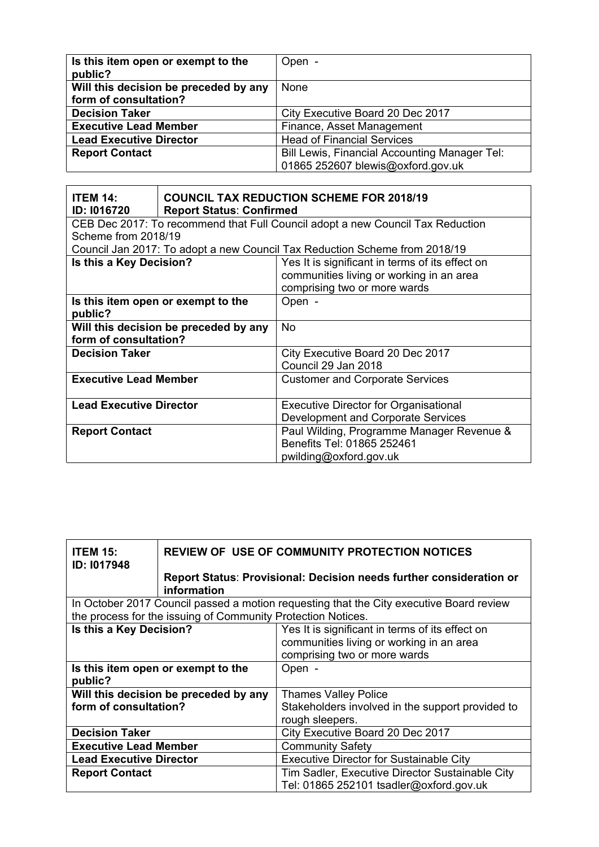| Is this item open or exempt to the<br>public?                  | Open -                                                                             |
|----------------------------------------------------------------|------------------------------------------------------------------------------------|
| Will this decision be preceded by any<br>form of consultation? | None                                                                               |
|                                                                |                                                                                    |
| <b>Decision Taker</b>                                          | City Executive Board 20 Dec 2017                                                   |
| <b>Executive Lead Member</b>                                   | Finance, Asset Management                                                          |
| <b>Lead Executive Director</b>                                 | <b>Head of Financial Services</b>                                                  |
| <b>Report Contact</b>                                          | Bill Lewis, Financial Accounting Manager Tel:<br>01865 252607 blewis@oxford.gov.uk |

| <b>ITEM 14:</b><br>ID: 1016720        | <b>COUNCIL TAX REDUCTION SCHEME FOR 2018/19</b><br><b>Report Status: Confirmed</b> |                                                                                |
|---------------------------------------|------------------------------------------------------------------------------------|--------------------------------------------------------------------------------|
|                                       |                                                                                    | CEB Dec 2017: To recommend that Full Council adopt a new Council Tax Reduction |
| Scheme from 2018/19                   |                                                                                    |                                                                                |
|                                       |                                                                                    | Council Jan 2017: To adopt a new Council Tax Reduction Scheme from 2018/19     |
| Is this a Key Decision?               |                                                                                    | Yes It is significant in terms of its effect on                                |
|                                       |                                                                                    | communities living or working in an area                                       |
|                                       |                                                                                    | comprising two or more wards                                                   |
|                                       | Is this item open or exempt to the                                                 | Open -                                                                         |
| public?                               |                                                                                    |                                                                                |
| Will this decision be preceded by any |                                                                                    | No.                                                                            |
| form of consultation?                 |                                                                                    |                                                                                |
| <b>Decision Taker</b>                 |                                                                                    | City Executive Board 20 Dec 2017                                               |
|                                       |                                                                                    | Council 29 Jan 2018                                                            |
| <b>Executive Lead Member</b>          |                                                                                    | <b>Customer and Corporate Services</b>                                         |
|                                       |                                                                                    |                                                                                |
| <b>Lead Executive Director</b>        |                                                                                    | <b>Executive Director for Organisational</b>                                   |
|                                       |                                                                                    | Development and Corporate Services                                             |
| <b>Report Contact</b>                 |                                                                                    | Paul Wilding, Programme Manager Revenue &                                      |
|                                       |                                                                                    | Benefits Tel: 01865 252461                                                     |
|                                       |                                                                                    | pwilding@oxford.gov.uk                                                         |

| <b>ITEM 15:</b><br>ID: 1017948                | <b>REVIEW OF USE OF COMMUNITY PROTECTION NOTICES</b>         |                                                                                                                             |
|-----------------------------------------------|--------------------------------------------------------------|-----------------------------------------------------------------------------------------------------------------------------|
|                                               | information                                                  | Report Status: Provisional: Decision needs further consideration or                                                         |
|                                               |                                                              | In October 2017 Council passed a motion requesting that the City executive Board review                                     |
|                                               | the process for the issuing of Community Protection Notices. |                                                                                                                             |
| Is this a Key Decision?                       |                                                              | Yes It is significant in terms of its effect on<br>communities living or working in an area<br>comprising two or more wards |
| Is this item open or exempt to the<br>public? |                                                              | Open -                                                                                                                      |
| Will this decision be preceded by any         |                                                              | <b>Thames Valley Police</b>                                                                                                 |
| form of consultation?                         |                                                              | Stakeholders involved in the support provided to                                                                            |
|                                               |                                                              | rough sleepers.                                                                                                             |
| <b>Decision Taker</b>                         |                                                              | City Executive Board 20 Dec 2017                                                                                            |
| <b>Executive Lead Member</b>                  |                                                              | <b>Community Safety</b>                                                                                                     |
| <b>Lead Executive Director</b>                |                                                              | <b>Executive Director for Sustainable City</b>                                                                              |
| <b>Report Contact</b>                         |                                                              | Tim Sadler, Executive Director Sustainable City                                                                             |
|                                               |                                                              | Tel: 01865 252101 tsadler@oxford.gov.uk                                                                                     |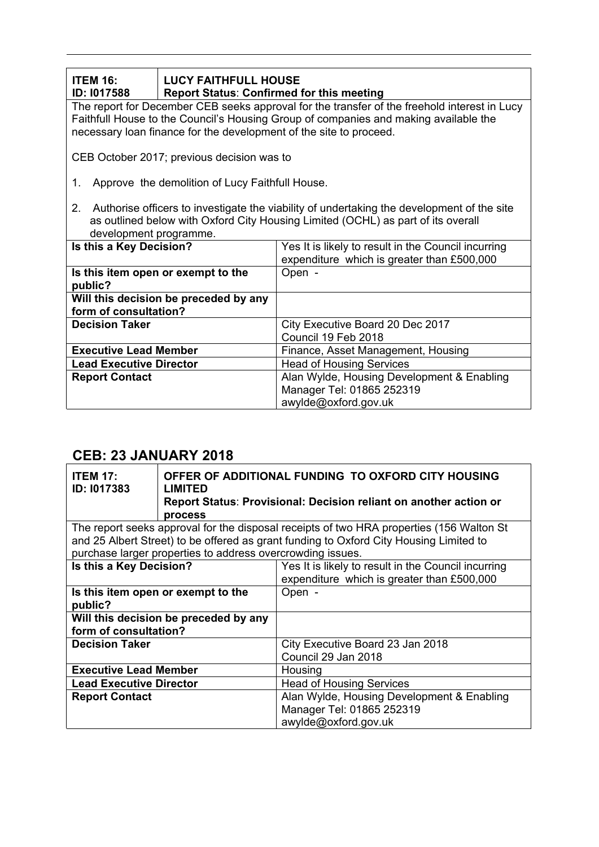| <b>ITEM 16:</b><br><b>ID: 1017588</b>                                                                                                                                                                                                                      | <b>LUCY FAITHFULL HOUSE</b><br><b>Report Status: Confirmed for this meeting</b> |                                                                                                   |  |
|------------------------------------------------------------------------------------------------------------------------------------------------------------------------------------------------------------------------------------------------------------|---------------------------------------------------------------------------------|---------------------------------------------------------------------------------------------------|--|
| The report for December CEB seeks approval for the transfer of the freehold interest in Lucy<br>Faithfull House to the Council's Housing Group of companies and making available the<br>necessary loan finance for the development of the site to proceed. |                                                                                 |                                                                                                   |  |
|                                                                                                                                                                                                                                                            | CEB October 2017; previous decision was to                                      |                                                                                                   |  |
| 1.                                                                                                                                                                                                                                                         | Approve the demolition of Lucy Faithfull House.                                 |                                                                                                   |  |
| 2. Authorise officers to investigate the viability of undertaking the development of the site<br>as outlined below with Oxford City Housing Limited (OCHL) as part of its overall<br>development programme.                                                |                                                                                 |                                                                                                   |  |
| Is this a Key Decision?                                                                                                                                                                                                                                    |                                                                                 | Yes It is likely to result in the Council incurring<br>expenditure which is greater than £500,000 |  |
| Is this item open or exempt to the<br>public?                                                                                                                                                                                                              |                                                                                 | Open -                                                                                            |  |
| Will this decision be preceded by any<br>form of consultation?                                                                                                                                                                                             |                                                                                 |                                                                                                   |  |
| <b>Decision Taker</b>                                                                                                                                                                                                                                      |                                                                                 | City Executive Board 20 Dec 2017<br>Council 19 Feb 2018                                           |  |
| <b>Executive Lead Member</b>                                                                                                                                                                                                                               |                                                                                 | Finance, Asset Management, Housing                                                                |  |
| <b>Lead Executive Director</b>                                                                                                                                                                                                                             |                                                                                 | <b>Head of Housing Services</b>                                                                   |  |
| <b>Report Contact</b>                                                                                                                                                                                                                                      |                                                                                 | Alan Wylde, Housing Development & Enabling                                                        |  |

Manager Tel: 01865 252319 awylde@oxford.gov.uk

### **CEB: 23 JANUARY 2018**

| <b>ITEM 17:</b><br>ID: 1017383                                                                                                                       | LIMITED<br>process | OFFER OF ADDITIONAL FUNDING TO OXFORD CITY HOUSING<br>Report Status: Provisional: Decision reliant on another action or |
|------------------------------------------------------------------------------------------------------------------------------------------------------|--------------------|-------------------------------------------------------------------------------------------------------------------------|
| and 25 Albert Street) to be offered as grant funding to Oxford City Housing Limited to<br>purchase larger properties to address overcrowding issues. |                    | The report seeks approval for the disposal receipts of two HRA properties (156 Walton St                                |
| Is this a Key Decision?                                                                                                                              |                    | Yes It is likely to result in the Council incurring<br>expenditure which is greater than £500,000                       |
| Is this item open or exempt to the<br>public?                                                                                                        |                    | Open -                                                                                                                  |
| Will this decision be preceded by any<br>form of consultation?                                                                                       |                    |                                                                                                                         |
| <b>Decision Taker</b>                                                                                                                                |                    | City Executive Board 23 Jan 2018<br>Council 29 Jan 2018                                                                 |
| <b>Executive Lead Member</b>                                                                                                                         |                    | Housing                                                                                                                 |
| <b>Lead Executive Director</b>                                                                                                                       |                    | <b>Head of Housing Services</b>                                                                                         |
| <b>Report Contact</b>                                                                                                                                |                    | Alan Wylde, Housing Development & Enabling<br>Manager Tel: 01865 252319<br>awylde@oxford.gov.uk                         |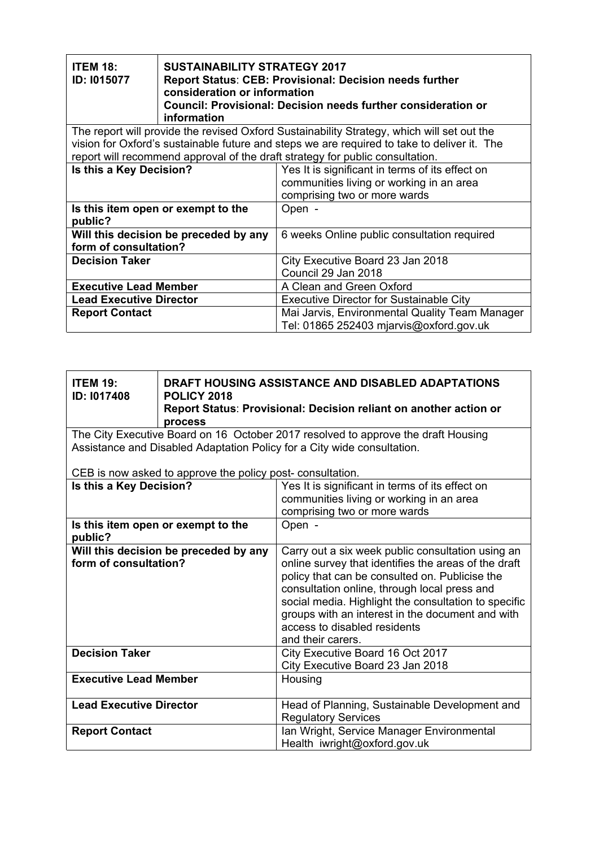| <b>ITEM 18:</b><br>ID: 1015077                                 | <b>SUSTAINABILITY STRATEGY 2017</b><br>Report Status: CEB: Provisional: Decision needs further<br>consideration or information<br>Council: Provisional: Decision needs further consideration or<br>information |                                                                                                                                                                                           |
|----------------------------------------------------------------|----------------------------------------------------------------------------------------------------------------------------------------------------------------------------------------------------------------|-------------------------------------------------------------------------------------------------------------------------------------------------------------------------------------------|
|                                                                |                                                                                                                                                                                                                | The report will provide the revised Oxford Sustainability Strategy, which will set out the<br>vision for Oxford's sustainable future and steps we are required to take to deliver it. The |
|                                                                |                                                                                                                                                                                                                | report will recommend approval of the draft strategy for public consultation.                                                                                                             |
| Is this a Key Decision?                                        |                                                                                                                                                                                                                | Yes It is significant in terms of its effect on<br>communities living or working in an area<br>comprising two or more wards                                                               |
| Is this item open or exempt to the<br>public?                  |                                                                                                                                                                                                                | Open -                                                                                                                                                                                    |
| Will this decision be preceded by any<br>form of consultation? |                                                                                                                                                                                                                | 6 weeks Online public consultation required                                                                                                                                               |
| <b>Decision Taker</b>                                          |                                                                                                                                                                                                                | City Executive Board 23 Jan 2018<br>Council 29 Jan 2018                                                                                                                                   |
| <b>Executive Lead Member</b>                                   |                                                                                                                                                                                                                | A Clean and Green Oxford                                                                                                                                                                  |
| <b>Lead Executive Director</b>                                 |                                                                                                                                                                                                                | <b>Executive Director for Sustainable City</b>                                                                                                                                            |
| <b>Report Contact</b>                                          |                                                                                                                                                                                                                | Mai Jarvis, Environmental Quality Team Manager<br>Tel: 01865 252403 mjarvis@oxford.gov.uk                                                                                                 |

| <b>ITEM 19:</b><br>ID: 1017408                                 | DRAFT HOUSING ASSISTANCE AND DISABLED ADAPTATIONS<br><b>POLICY 2018</b><br>Report Status: Provisional: Decision reliant on another action or<br>process |                                                                                                                                                                                                                                                                                                                                                                              |
|----------------------------------------------------------------|---------------------------------------------------------------------------------------------------------------------------------------------------------|------------------------------------------------------------------------------------------------------------------------------------------------------------------------------------------------------------------------------------------------------------------------------------------------------------------------------------------------------------------------------|
|                                                                |                                                                                                                                                         | The City Executive Board on 16 October 2017 resolved to approve the draft Housing<br>Assistance and Disabled Adaptation Policy for a City wide consultation.                                                                                                                                                                                                                 |
|                                                                | CEB is now asked to approve the policy post-consultation.                                                                                               |                                                                                                                                                                                                                                                                                                                                                                              |
| Is this a Key Decision?                                        |                                                                                                                                                         | Yes It is significant in terms of its effect on<br>communities living or working in an area<br>comprising two or more wards                                                                                                                                                                                                                                                  |
| public?                                                        | Is this item open or exempt to the                                                                                                                      | Open -                                                                                                                                                                                                                                                                                                                                                                       |
| Will this decision be preceded by any<br>form of consultation? |                                                                                                                                                         | Carry out a six week public consultation using an<br>online survey that identifies the areas of the draft<br>policy that can be consulted on. Publicise the<br>consultation online, through local press and<br>social media. Highlight the consultation to specific<br>groups with an interest in the document and with<br>access to disabled residents<br>and their carers. |
| <b>Decision Taker</b>                                          |                                                                                                                                                         | City Executive Board 16 Oct 2017<br>City Executive Board 23 Jan 2018                                                                                                                                                                                                                                                                                                         |
| <b>Executive Lead Member</b>                                   |                                                                                                                                                         | Housing                                                                                                                                                                                                                                                                                                                                                                      |
| <b>Lead Executive Director</b>                                 |                                                                                                                                                         | Head of Planning, Sustainable Development and<br><b>Regulatory Services</b>                                                                                                                                                                                                                                                                                                  |
| <b>Report Contact</b>                                          |                                                                                                                                                         | Ian Wright, Service Manager Environmental<br>Health iwright@oxford.gov.uk                                                                                                                                                                                                                                                                                                    |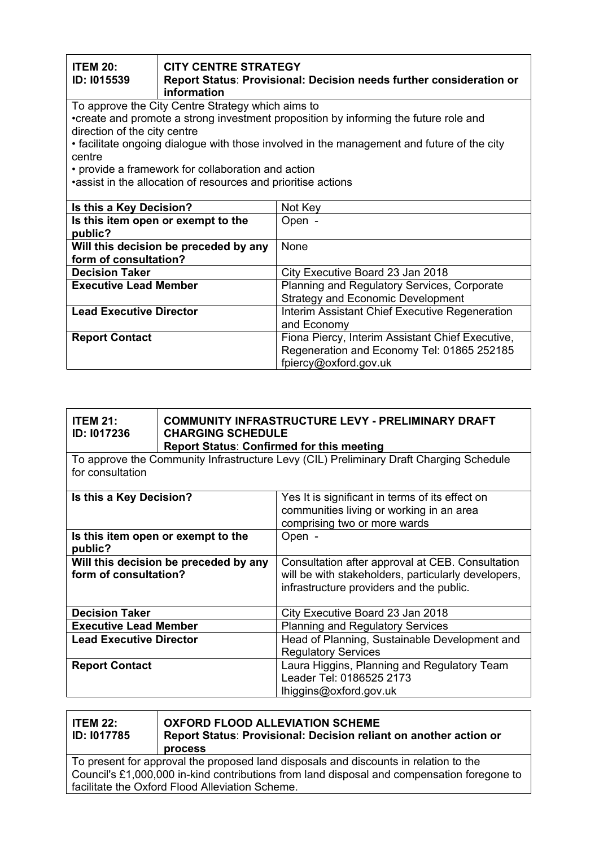| <b>ITEM 20:</b><br>ID: 1015539        | <b>CITY CENTRE STRATEGY</b><br>Report Status: Provisional: Decision needs further consideration or<br>information |                                                                                            |
|---------------------------------------|-------------------------------------------------------------------------------------------------------------------|--------------------------------------------------------------------------------------------|
|                                       | To approve the City Centre Strategy which aims to                                                                 |                                                                                            |
| direction of the city centre          |                                                                                                                   | •create and promote a strong investment proposition by informing the future role and       |
|                                       |                                                                                                                   | • facilitate ongoing dialogue with those involved in the management and future of the city |
| centre                                |                                                                                                                   |                                                                                            |
|                                       | • provide a framework for collaboration and action                                                                |                                                                                            |
|                                       | assist in the allocation of resources and prioritise actions                                                      |                                                                                            |
|                                       |                                                                                                                   |                                                                                            |
| Is this a Key Decision?               |                                                                                                                   | Not Key                                                                                    |
| Is this item open or exempt to the    |                                                                                                                   | Open -                                                                                     |
| public?                               |                                                                                                                   |                                                                                            |
| Will this decision be preceded by any |                                                                                                                   | None                                                                                       |
| form of consultation?                 |                                                                                                                   |                                                                                            |
| <b>Decision Taker</b>                 |                                                                                                                   | City Executive Board 23 Jan 2018                                                           |
| <b>Executive Lead Member</b>          |                                                                                                                   | Planning and Regulatory Services, Corporate                                                |
|                                       |                                                                                                                   | <b>Strategy and Economic Development</b>                                                   |
| <b>Lead Executive Director</b>        |                                                                                                                   | Interim Assistant Chief Executive Regeneration                                             |
|                                       |                                                                                                                   | and Economy                                                                                |
| <b>Report Contact</b>                 |                                                                                                                   | Fiona Piercy, Interim Assistant Chief Executive,                                           |
|                                       |                                                                                                                   | Regeneration and Economy Tel: 01865 252185                                                 |
|                                       |                                                                                                                   | fpiercy@oxford.gov.uk                                                                      |

| <b>ITEM 21:</b><br><b>ID: 1017236</b>                                                                      | <b>COMMUNITY INFRASTRUCTURE LEVY - PRELIMINARY DRAFT</b><br><b>CHARGING SCHEDULE</b><br><b>Report Status: Confirmed for this meeting</b> |                                                                                                                                                     |
|------------------------------------------------------------------------------------------------------------|------------------------------------------------------------------------------------------------------------------------------------------|-----------------------------------------------------------------------------------------------------------------------------------------------------|
| To approve the Community Infrastructure Levy (CIL) Preliminary Draft Charging Schedule<br>for consultation |                                                                                                                                          |                                                                                                                                                     |
| Is this a Key Decision?                                                                                    |                                                                                                                                          | Yes It is significant in terms of its effect on<br>communities living or working in an area<br>comprising two or more wards                         |
| Is this item open or exempt to the<br>public?                                                              |                                                                                                                                          | Open -                                                                                                                                              |
| Will this decision be preceded by any<br>form of consultation?                                             |                                                                                                                                          | Consultation after approval at CEB. Consultation<br>will be with stakeholders, particularly developers,<br>infrastructure providers and the public. |
| <b>Decision Taker</b>                                                                                      |                                                                                                                                          | City Executive Board 23 Jan 2018                                                                                                                    |
| <b>Executive Lead Member</b>                                                                               |                                                                                                                                          | <b>Planning and Regulatory Services</b>                                                                                                             |
| <b>Lead Executive Director</b>                                                                             |                                                                                                                                          | Head of Planning, Sustainable Development and<br><b>Regulatory Services</b>                                                                         |
| <b>Report Contact</b>                                                                                      |                                                                                                                                          | Laura Higgins, Planning and Regulatory Team<br>Leader Tel: 0186525 2173<br>lhiggins@oxford.gov.uk                                                   |

| <b>ITEM 22:</b><br>ID: 1017785                                                             | <b>OXFORD FLOOD ALLEVIATION SCHEME</b><br>Report Status: Provisional: Decision reliant on another action or<br><b>process</b> |  |
|--------------------------------------------------------------------------------------------|-------------------------------------------------------------------------------------------------------------------------------|--|
| To present for approval the proposed land disposals and discounts in relation to the       |                                                                                                                               |  |
| Council's £1,000,000 in-kind contributions from land disposal and compensation foregone to |                                                                                                                               |  |
| facilitate the Oxford Flood Alleviation Scheme.                                            |                                                                                                                               |  |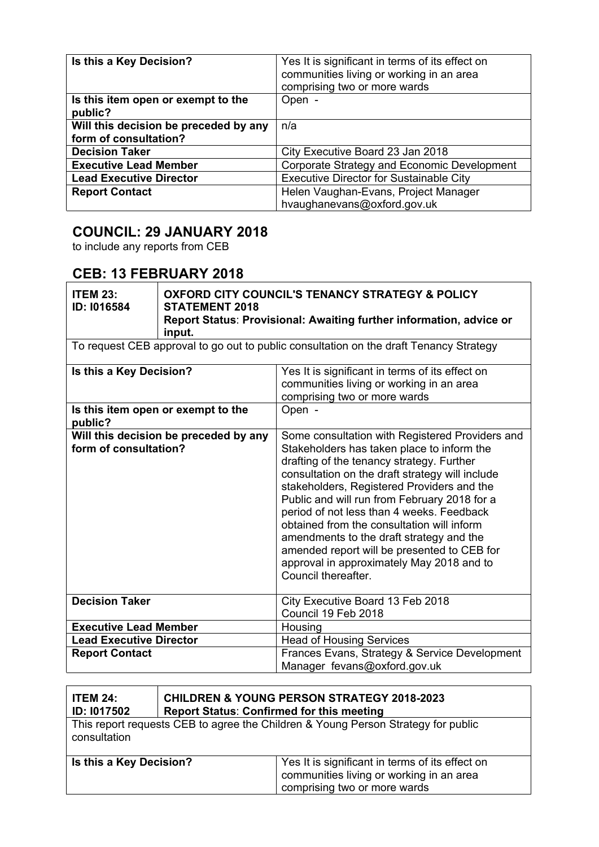| Is this a Key Decision?                       | Yes It is significant in terms of its effect on<br>communities living or working in an area<br>comprising two or more wards |
|-----------------------------------------------|-----------------------------------------------------------------------------------------------------------------------------|
| Is this item open or exempt to the<br>public? | Open -                                                                                                                      |
| Will this decision be preceded by any         | n/a                                                                                                                         |
| form of consultation?                         |                                                                                                                             |
| <b>Decision Taker</b>                         | City Executive Board 23 Jan 2018                                                                                            |
| <b>Executive Lead Member</b>                  | Corporate Strategy and Economic Development                                                                                 |
| <b>Lead Executive Director</b>                | <b>Executive Director for Sustainable City</b>                                                                              |
| <b>Report Contact</b>                         | Helen Vaughan-Evans, Project Manager                                                                                        |
|                                               | hvaughanevans@oxford.gov.uk                                                                                                 |

### **COUNCIL: 29 JANUARY 2018**

to include any reports from CEB

### **CEB: 13 FEBRUARY 2018**

| <b>ITEM 23:</b><br>ID: I016584 | <b>OXFORD CITY COUNCIL'S TENANCY STRATEGY &amp; POLICY</b><br><b>STATEMENT 2018</b><br>Report Status: Provisional: Awaiting further information, advice or<br>input. |                                                                                                                                                                                                                                                                                                                                                                                                                                                                                                                                                       |
|--------------------------------|----------------------------------------------------------------------------------------------------------------------------------------------------------------------|-------------------------------------------------------------------------------------------------------------------------------------------------------------------------------------------------------------------------------------------------------------------------------------------------------------------------------------------------------------------------------------------------------------------------------------------------------------------------------------------------------------------------------------------------------|
|                                |                                                                                                                                                                      | To request CEB approval to go out to public consultation on the draft Tenancy Strategy                                                                                                                                                                                                                                                                                                                                                                                                                                                                |
| Is this a Key Decision?        |                                                                                                                                                                      | Yes It is significant in terms of its effect on<br>communities living or working in an area<br>comprising two or more wards                                                                                                                                                                                                                                                                                                                                                                                                                           |
| public?                        | Is this item open or exempt to the                                                                                                                                   | Open -                                                                                                                                                                                                                                                                                                                                                                                                                                                                                                                                                |
| form of consultation?          | Will this decision be preceded by any                                                                                                                                | Some consultation with Registered Providers and<br>Stakeholders has taken place to inform the<br>drafting of the tenancy strategy. Further<br>consultation on the draft strategy will include<br>stakeholders, Registered Providers and the<br>Public and will run from February 2018 for a<br>period of not less than 4 weeks. Feedback<br>obtained from the consultation will inform<br>amendments to the draft strategy and the<br>amended report will be presented to CEB for<br>approval in approximately May 2018 and to<br>Council thereafter. |
| <b>Decision Taker</b>          |                                                                                                                                                                      | City Executive Board 13 Feb 2018<br>Council 19 Feb 2018                                                                                                                                                                                                                                                                                                                                                                                                                                                                                               |
| <b>Executive Lead Member</b>   |                                                                                                                                                                      | Housing                                                                                                                                                                                                                                                                                                                                                                                                                                                                                                                                               |
| <b>Lead Executive Director</b> |                                                                                                                                                                      | <b>Head of Housing Services</b>                                                                                                                                                                                                                                                                                                                                                                                                                                                                                                                       |
| <b>Report Contact</b>          |                                                                                                                                                                      | Frances Evans, Strategy & Service Development<br>Manager fevans@oxford.gov.uk                                                                                                                                                                                                                                                                                                                                                                                                                                                                         |

| <b>ITEM 24:</b><br><b>ID: 1017502</b>                                                             | <b>CHILDREN &amp; YOUNG PERSON STRATEGY 2018-2023</b><br><b>Report Status: Confirmed for this meeting</b> |                                                                                                                             |
|---------------------------------------------------------------------------------------------------|-----------------------------------------------------------------------------------------------------------|-----------------------------------------------------------------------------------------------------------------------------|
| This report requests CEB to agree the Children & Young Person Strategy for public<br>consultation |                                                                                                           |                                                                                                                             |
| Is this a Key Decision?                                                                           |                                                                                                           | Yes It is significant in terms of its effect on<br>communities living or working in an area<br>comprising two or more wards |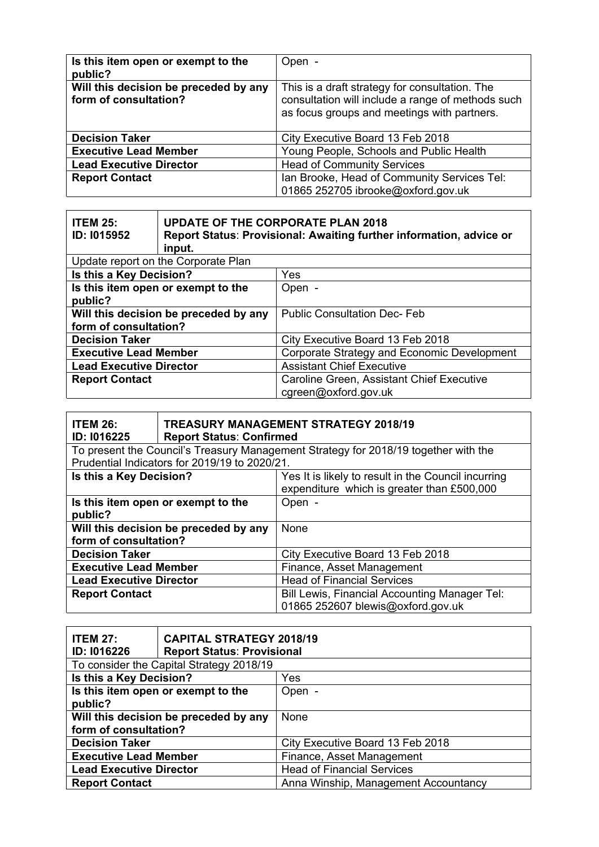| Is this item open or exempt to the<br>public?                  | Open -                                                                                                                                             |
|----------------------------------------------------------------|----------------------------------------------------------------------------------------------------------------------------------------------------|
| Will this decision be preceded by any<br>form of consultation? | This is a draft strategy for consultation. The<br>consultation will include a range of methods such<br>as focus groups and meetings with partners. |
| <b>Decision Taker</b>                                          | City Executive Board 13 Feb 2018                                                                                                                   |
| <b>Executive Lead Member</b>                                   | Young People, Schools and Public Health                                                                                                            |
| <b>Lead Executive Director</b>                                 | <b>Head of Community Services</b>                                                                                                                  |
| <b>Report Contact</b>                                          | Ian Brooke, Head of Community Services Tel:<br>01865 252705 ibrooke@oxford.gov.uk                                                                  |

| <b>ITEM 25:</b><br>ID: 1015952                                 | <b>UPDATE OF THE CORPORATE PLAN 2018</b><br>Report Status: Provisional: Awaiting further information, advice or<br>input. |                                                                   |
|----------------------------------------------------------------|---------------------------------------------------------------------------------------------------------------------------|-------------------------------------------------------------------|
|                                                                | Update report on the Corporate Plan                                                                                       |                                                                   |
| Is this a Key Decision?                                        |                                                                                                                           | Yes                                                               |
| Is this item open or exempt to the<br>public?                  |                                                                                                                           | Open -                                                            |
| Will this decision be preceded by any<br>form of consultation? |                                                                                                                           | <b>Public Consultation Dec-Feb</b>                                |
| <b>Decision Taker</b>                                          |                                                                                                                           | City Executive Board 13 Feb 2018                                  |
| <b>Executive Lead Member</b>                                   |                                                                                                                           | Corporate Strategy and Economic Development                       |
| <b>Lead Executive Director</b>                                 |                                                                                                                           | <b>Assistant Chief Executive</b>                                  |
| <b>Report Contact</b>                                          |                                                                                                                           | Caroline Green, Assistant Chief Executive<br>cgreen@oxford.gov.uk |

| <b>ITEM 26:</b><br>ID: I016225                                 | <b>TREASURY MANAGEMENT STRATEGY 2018/19</b><br><b>Report Status: Confirmed</b> |                                                                                                   |
|----------------------------------------------------------------|--------------------------------------------------------------------------------|---------------------------------------------------------------------------------------------------|
|                                                                |                                                                                | To present the Council's Treasury Management Strategy for 2018/19 together with the               |
|                                                                | Prudential Indicators for 2019/19 to 2020/21.                                  |                                                                                                   |
| Is this a Key Decision?                                        |                                                                                | Yes It is likely to result in the Council incurring<br>expenditure which is greater than £500,000 |
| Is this item open or exempt to the<br>public?                  |                                                                                | Open -                                                                                            |
| Will this decision be preceded by any<br>form of consultation? |                                                                                | None                                                                                              |
| <b>Decision Taker</b>                                          |                                                                                | City Executive Board 13 Feb 2018                                                                  |
| <b>Executive Lead Member</b>                                   |                                                                                | Finance, Asset Management                                                                         |
| <b>Lead Executive Director</b>                                 |                                                                                | <b>Head of Financial Services</b>                                                                 |
| <b>Report Contact</b>                                          |                                                                                | <b>Bill Lewis, Financial Accounting Manager Tel:</b><br>01865 252607 blewis@oxford.gov.uk         |

| <b>ITEM 27:</b>                          | <b>CAPITAL STRATEGY 2018/19</b>   |                                      |
|------------------------------------------|-----------------------------------|--------------------------------------|
| <b>ID: I016226</b>                       | <b>Report Status: Provisional</b> |                                      |
| To consider the Capital Strategy 2018/19 |                                   |                                      |
| Is this a Key Decision?<br>Yes           |                                   |                                      |
| Is this item open or exempt to the       |                                   | Open -                               |
| public?                                  |                                   |                                      |
| Will this decision be preceded by any    |                                   | None                                 |
| form of consultation?                    |                                   |                                      |
| <b>Decision Taker</b>                    |                                   | City Executive Board 13 Feb 2018     |
| <b>Executive Lead Member</b>             |                                   | Finance, Asset Management            |
| <b>Lead Executive Director</b>           |                                   | <b>Head of Financial Services</b>    |
| <b>Report Contact</b>                    |                                   | Anna Winship, Management Accountancy |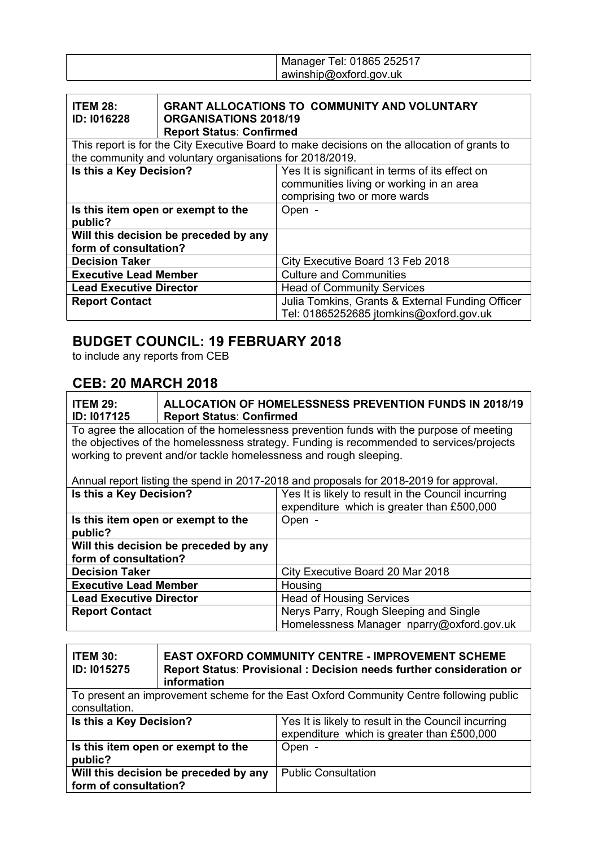| Manager Tel: 01865 252517 |
|---------------------------|
| awinship@oxford.gov.uk    |

| <b>ITEM 28:</b><br>ID: I016228                                 | <b>GRANT ALLOCATIONS TO COMMUNITY AND VOLUNTARY</b><br><b>ORGANISATIONS 2018/19</b><br><b>Report Status: Confirmed</b><br>This report is for the City Executive Board to make decisions on the allocation of grants to |  |
|----------------------------------------------------------------|------------------------------------------------------------------------------------------------------------------------------------------------------------------------------------------------------------------------|--|
| the community and voluntary organisations for 2018/2019.       |                                                                                                                                                                                                                        |  |
| Is this a Key Decision?                                        | Yes It is significant in terms of its effect on<br>communities living or working in an area<br>comprising two or more wards                                                                                            |  |
| Is this item open or exempt to the<br>public?                  | Open -                                                                                                                                                                                                                 |  |
| Will this decision be preceded by any<br>form of consultation? |                                                                                                                                                                                                                        |  |
| <b>Decision Taker</b>                                          | City Executive Board 13 Feb 2018                                                                                                                                                                                       |  |
| <b>Executive Lead Member</b>                                   | <b>Culture and Communities</b>                                                                                                                                                                                         |  |
| <b>Lead Executive Director</b>                                 | <b>Head of Community Services</b>                                                                                                                                                                                      |  |
| <b>Report Contact</b>                                          | Julia Tomkins, Grants & External Funding Officer<br>Tel: 01865252685 jtomkins@oxford.gov.uk                                                                                                                            |  |

## **BUDGET COUNCIL: 19 FEBRUARY 2018**

to include any reports from CEB

### **CEB: 20 MARCH 2018**

| <b>ITEM 29:</b><br>ID: 1017125                                                         | <b>ALLOCATION OF HOMELESSNESS PREVENTION FUNDS IN 2018/19</b><br><b>Report Status: Confirmed</b> |                                                                                          |
|----------------------------------------------------------------------------------------|--------------------------------------------------------------------------------------------------|------------------------------------------------------------------------------------------|
|                                                                                        |                                                                                                  | To agree the allocation of the homelessness prevention funds with the purpose of meeting |
|                                                                                        |                                                                                                  | the objectives of the homelessness strategy. Funding is recommended to services/projects |
|                                                                                        |                                                                                                  | working to prevent and/or tackle homelessness and rough sleeping.                        |
|                                                                                        |                                                                                                  |                                                                                          |
| Annual report listing the spend in 2017-2018 and proposals for 2018-2019 for approval. |                                                                                                  |                                                                                          |
| Is this a Key Decision?                                                                |                                                                                                  | Yes It is likely to result in the Council incurring                                      |
|                                                                                        |                                                                                                  | expenditure which is greater than £500,000                                               |
|                                                                                        | Is this item open or exempt to the                                                               | Open -                                                                                   |
| public?                                                                                |                                                                                                  |                                                                                          |
| Will this decision be preceded by any                                                  |                                                                                                  |                                                                                          |
| form of consultation?                                                                  |                                                                                                  |                                                                                          |
| <b>Decision Taker</b>                                                                  |                                                                                                  | City Executive Board 20 Mar 2018                                                         |
| <b>Executive Lead Member</b>                                                           |                                                                                                  | Housing                                                                                  |
| <b>Lead Executive Director</b>                                                         |                                                                                                  | <b>Head of Housing Services</b>                                                          |
| <b>Report Contact</b>                                                                  |                                                                                                  | Nerys Parry, Rough Sleeping and Single                                                   |
|                                                                                        |                                                                                                  | Homelessness Manager nparry@oxford.gov.uk                                                |
|                                                                                        |                                                                                                  |                                                                                          |

| <b>ITEM 30:</b><br><b>ID: 1015275</b>                                                                   | <b>EAST OXFORD COMMUNITY CENTRE - IMPROVEMENT SCHEME</b><br>Report Status: Provisional: Decision needs further consideration or<br>information |                                                                                                   |
|---------------------------------------------------------------------------------------------------------|------------------------------------------------------------------------------------------------------------------------------------------------|---------------------------------------------------------------------------------------------------|
| To present an improvement scheme for the East Oxford Community Centre following public<br>consultation. |                                                                                                                                                |                                                                                                   |
| Is this a Key Decision?                                                                                 |                                                                                                                                                | Yes It is likely to result in the Council incurring<br>expenditure which is greater than £500,000 |
| Is this item open or exempt to the<br>public?                                                           |                                                                                                                                                | Open -                                                                                            |
| Will this decision be preceded by any<br>form of consultation?                                          |                                                                                                                                                | <b>Public Consultation</b>                                                                        |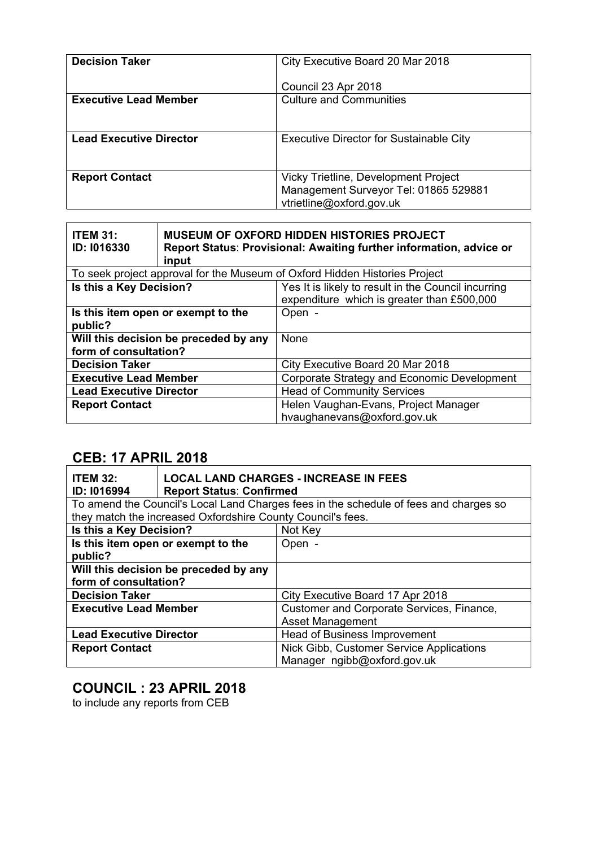| <b>Decision Taker</b>          | City Executive Board 20 Mar 2018                                                                          |
|--------------------------------|-----------------------------------------------------------------------------------------------------------|
|                                | Council 23 Apr 2018                                                                                       |
| <b>Executive Lead Member</b>   | <b>Culture and Communities</b>                                                                            |
| <b>Lead Executive Director</b> | <b>Executive Director for Sustainable City</b>                                                            |
| <b>Report Contact</b>          | Vicky Trietline, Development Project<br>Management Surveyor Tel: 01865 529881<br>vtrietline@oxford.gov.uk |

| <b>ITEM 31:</b><br>ID: 1016330                                             | <b>MUSEUM OF OXFORD HIDDEN HISTORIES PROJECT</b><br>Report Status: Provisional: Awaiting further information, advice or<br>input |                                                                                                   |
|----------------------------------------------------------------------------|----------------------------------------------------------------------------------------------------------------------------------|---------------------------------------------------------------------------------------------------|
| To seek project approval for the Museum of Oxford Hidden Histories Project |                                                                                                                                  |                                                                                                   |
| Is this a Key Decision?                                                    |                                                                                                                                  | Yes It is likely to result in the Council incurring<br>expenditure which is greater than £500,000 |
| Is this item open or exempt to the<br>public?                              |                                                                                                                                  | Open -                                                                                            |
| Will this decision be preceded by any<br>form of consultation?             |                                                                                                                                  | None                                                                                              |
| <b>Decision Taker</b>                                                      |                                                                                                                                  | City Executive Board 20 Mar 2018                                                                  |
| <b>Executive Lead Member</b>                                               |                                                                                                                                  | Corporate Strategy and Economic Development                                                       |
| <b>Lead Executive Director</b>                                             |                                                                                                                                  | <b>Head of Community Services</b>                                                                 |
| <b>Report Contact</b>                                                      |                                                                                                                                  | Helen Vaughan-Evans, Project Manager<br>hvaughanevans@oxford.gov.uk                               |

# **CEB: 17 APRIL 2018**

| <b>ITEM 32:</b><br>ID: 1016994        | <b>LOCAL LAND CHARGES - INCREASE IN FEES</b><br><b>Report Status: Confirmed</b> |                                                                                       |
|---------------------------------------|---------------------------------------------------------------------------------|---------------------------------------------------------------------------------------|
|                                       |                                                                                 | To amend the Council's Local Land Charges fees in the schedule of fees and charges so |
|                                       | they match the increased Oxfordshire County Council's fees.                     |                                                                                       |
| Is this a Key Decision?               |                                                                                 | Not Key                                                                               |
| Is this item open or exempt to the    |                                                                                 | Open -                                                                                |
| public?                               |                                                                                 |                                                                                       |
| Will this decision be preceded by any |                                                                                 |                                                                                       |
| form of consultation?                 |                                                                                 |                                                                                       |
| <b>Decision Taker</b>                 |                                                                                 | City Executive Board 17 Apr 2018                                                      |
| <b>Executive Lead Member</b>          |                                                                                 | Customer and Corporate Services, Finance,                                             |
|                                       |                                                                                 | <b>Asset Management</b>                                                               |
| <b>Lead Executive Director</b>        |                                                                                 | Head of Business Improvement                                                          |
| <b>Report Contact</b>                 |                                                                                 | Nick Gibb, Customer Service Applications                                              |
|                                       |                                                                                 | Manager ngibb@oxford.gov.uk                                                           |

### **COUNCIL : 23 APRIL 2018**

to include any reports from CEB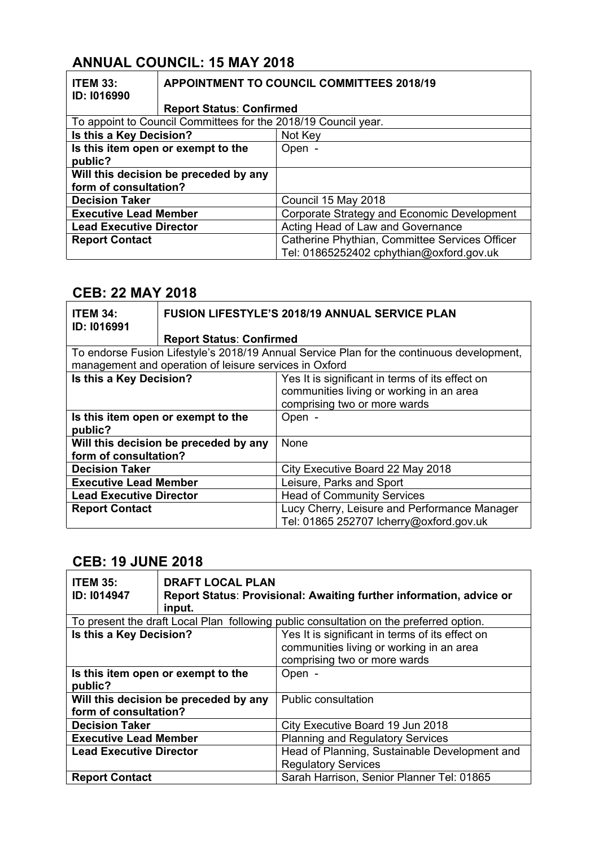# **ANNUAL COUNCIL: 15 MAY 2018**

| <b>ITEM 33:</b><br>ID: 1016990                                 | <b>APPOINTMENT TO COUNCIL COMMITTEES 2018/19</b> |                                                |
|----------------------------------------------------------------|--------------------------------------------------|------------------------------------------------|
|                                                                | <b>Report Status: Confirmed</b>                  |                                                |
| To appoint to Council Committees for the 2018/19 Council year. |                                                  |                                                |
|                                                                | Is this a Key Decision?<br>Not Key               |                                                |
| Is this item open or exempt to the                             |                                                  | Open -                                         |
| public?                                                        |                                                  |                                                |
|                                                                | Will this decision be preceded by any            |                                                |
| form of consultation?                                          |                                                  |                                                |
| <b>Decision Taker</b>                                          |                                                  | Council 15 May 2018                            |
| <b>Executive Lead Member</b>                                   |                                                  | Corporate Strategy and Economic Development    |
| <b>Lead Executive Director</b>                                 |                                                  | Acting Head of Law and Governance              |
| <b>Report Contact</b>                                          |                                                  | Catherine Phythian, Committee Services Officer |
|                                                                |                                                  | Tel: 01865252402 cphythian@oxford.gov.uk       |

#### **CEB: 22 MAY 2018**

| <b>ITEM 34:</b><br>ID: 1016991                | <b>FUSION LIFESTYLE'S 2018/19 ANNUAL SERVICE PLAN</b>  |                                                                                           |
|-----------------------------------------------|--------------------------------------------------------|-------------------------------------------------------------------------------------------|
|                                               | <b>Report Status: Confirmed</b>                        |                                                                                           |
|                                               |                                                        | To endorse Fusion Lifestyle's 2018/19 Annual Service Plan for the continuous development, |
|                                               | management and operation of leisure services in Oxford |                                                                                           |
| Is this a Key Decision?                       |                                                        | Yes It is significant in terms of its effect on                                           |
|                                               |                                                        | communities living or working in an area                                                  |
|                                               |                                                        | comprising two or more wards                                                              |
| Is this item open or exempt to the<br>public? |                                                        | Open -                                                                                    |
| Will this decision be preceded by any         |                                                        | None                                                                                      |
| form of consultation?                         |                                                        |                                                                                           |
| <b>Decision Taker</b>                         |                                                        | City Executive Board 22 May 2018                                                          |
| <b>Executive Lead Member</b>                  |                                                        | Leisure, Parks and Sport                                                                  |
| <b>Lead Executive Director</b>                |                                                        | <b>Head of Community Services</b>                                                         |
| <b>Report Contact</b>                         |                                                        | Lucy Cherry, Leisure and Performance Manager                                              |
|                                               |                                                        | Tel: 01865 252707 Icherry@oxford.gov.uk                                                   |

# **CEB: 19 JUNE 2018**

| <b>ITEM 35:</b><br>ID: I014947        | <b>DRAFT LOCAL PLAN</b><br>Report Status: Provisional: Awaiting further information, advice or<br>input. |                                                                                        |
|---------------------------------------|----------------------------------------------------------------------------------------------------------|----------------------------------------------------------------------------------------|
|                                       |                                                                                                          | To present the draft Local Plan following public consultation on the preferred option. |
| Is this a Key Decision?               |                                                                                                          | Yes It is significant in terms of its effect on                                        |
|                                       |                                                                                                          | communities living or working in an area                                               |
|                                       |                                                                                                          | comprising two or more wards                                                           |
| Is this item open or exempt to the    |                                                                                                          | Open -                                                                                 |
| public?                               |                                                                                                          |                                                                                        |
| Will this decision be preceded by any |                                                                                                          | <b>Public consultation</b>                                                             |
| form of consultation?                 |                                                                                                          |                                                                                        |
| <b>Decision Taker</b>                 |                                                                                                          | City Executive Board 19 Jun 2018                                                       |
| <b>Executive Lead Member</b>          |                                                                                                          | <b>Planning and Regulatory Services</b>                                                |
| <b>Lead Executive Director</b>        |                                                                                                          | Head of Planning, Sustainable Development and                                          |
|                                       |                                                                                                          | <b>Regulatory Services</b>                                                             |
| <b>Report Contact</b>                 |                                                                                                          | Sarah Harrison, Senior Planner Tel: 01865                                              |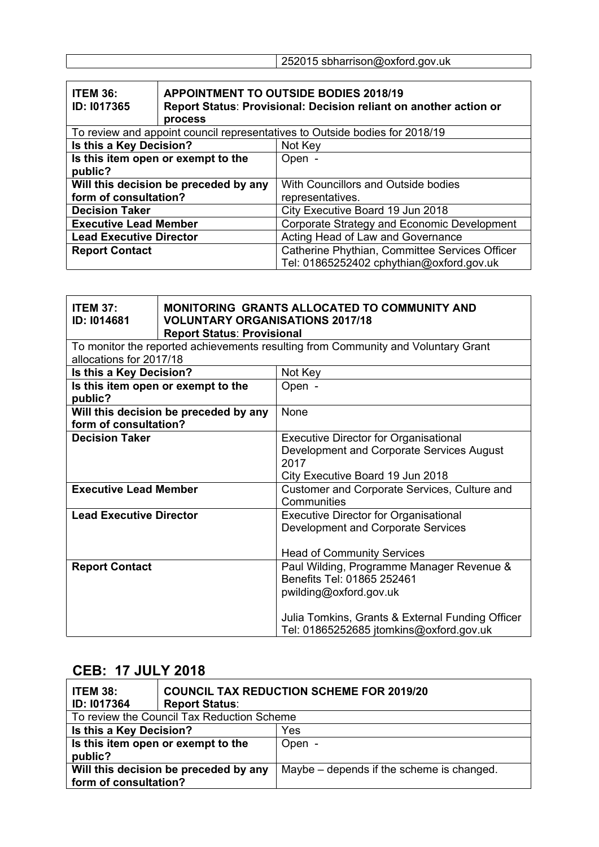|  |  |  | 252015 sbharrison@oxford.gov.uk |
|--|--|--|---------------------------------|
|--|--|--|---------------------------------|

| <b>ITEM 36:</b><br>ID: 1017365                                                                | <b>APPOINTMENT TO OUTSIDE BODIES 2018/19</b><br>Report Status: Provisional: Decision reliant on another action or |                                                |
|-----------------------------------------------------------------------------------------------|-------------------------------------------------------------------------------------------------------------------|------------------------------------------------|
| <b>process</b><br>To review and appoint council representatives to Outside bodies for 2018/19 |                                                                                                                   |                                                |
| Is this a Key Decision?                                                                       |                                                                                                                   | Not Key                                        |
| Is this item open or exempt to the                                                            |                                                                                                                   | Open -                                         |
| public?                                                                                       |                                                                                                                   |                                                |
| Will this decision be preceded by any                                                         |                                                                                                                   | With Councillors and Outside bodies            |
| form of consultation?                                                                         |                                                                                                                   | representatives.                               |
| <b>Decision Taker</b>                                                                         |                                                                                                                   | City Executive Board 19 Jun 2018               |
| <b>Executive Lead Member</b>                                                                  |                                                                                                                   | Corporate Strategy and Economic Development    |
| <b>Lead Executive Director</b>                                                                |                                                                                                                   | Acting Head of Law and Governance              |
| <b>Report Contact</b>                                                                         |                                                                                                                   | Catherine Phythian, Committee Services Officer |
|                                                                                               |                                                                                                                   | Tel: 01865252402 cphythian@oxford.gov.uk       |

| <b>ITEM 37:</b><br>ID: 1014681                                 | MONITORING GRANTS ALLOCATED TO COMMUNITY AND<br><b>VOLUNTARY ORGANISATIONS 2017/18</b><br><b>Report Status: Provisional</b> |                                                                                                                                                                                                  |
|----------------------------------------------------------------|-----------------------------------------------------------------------------------------------------------------------------|--------------------------------------------------------------------------------------------------------------------------------------------------------------------------------------------------|
|                                                                |                                                                                                                             | To monitor the reported achievements resulting from Community and Voluntary Grant                                                                                                                |
| allocations for 2017/18                                        |                                                                                                                             |                                                                                                                                                                                                  |
| Is this a Key Decision?                                        |                                                                                                                             | Not Key                                                                                                                                                                                          |
| Is this item open or exempt to the<br>public?                  |                                                                                                                             | Open -                                                                                                                                                                                           |
| Will this decision be preceded by any<br>form of consultation? |                                                                                                                             | None                                                                                                                                                                                             |
| <b>Decision Taker</b>                                          |                                                                                                                             | <b>Executive Director for Organisational</b><br>Development and Corporate Services August<br>2017<br>City Executive Board 19 Jun 2018                                                            |
| <b>Executive Lead Member</b>                                   |                                                                                                                             | Customer and Corporate Services, Culture and<br>Communities                                                                                                                                      |
| <b>Lead Executive Director</b>                                 |                                                                                                                             | <b>Executive Director for Organisational</b><br>Development and Corporate Services<br><b>Head of Community Services</b>                                                                          |
| <b>Report Contact</b>                                          |                                                                                                                             | Paul Wilding, Programme Manager Revenue &<br>Benefits Tel: 01865 252461<br>pwilding@oxford.gov.uk<br>Julia Tomkins, Grants & External Funding Officer<br>Tel: 01865252685 jtomkins@oxford.gov.uk |

### **CEB: 17 JULY 2018**

| <b>ITEM 38:</b><br><b>ID: 1017364</b>                          | <b>COUNCIL TAX REDUCTION SCHEME FOR 2019/20</b><br><b>Report Status:</b> |                                           |
|----------------------------------------------------------------|--------------------------------------------------------------------------|-------------------------------------------|
| To review the Council Tax Reduction Scheme                     |                                                                          |                                           |
| Is this a Key Decision?                                        |                                                                          | Yes                                       |
| Is this item open or exempt to the<br>public?                  |                                                                          | Open -                                    |
| Will this decision be preceded by any<br>form of consultation? |                                                                          | Maybe – depends if the scheme is changed. |